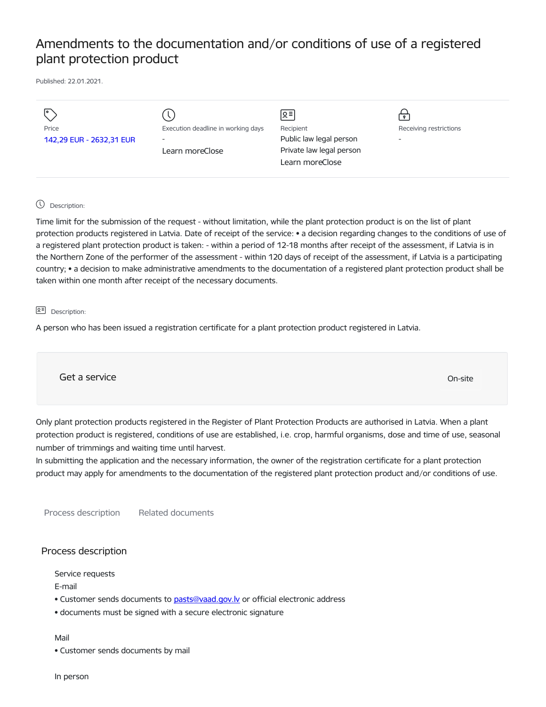## Amendments to the documentation and/or conditions of use of a registered plant protection product

Published: 22.01.2021.

| Price<br>142,29 EUR - 2632,31 EUR | Execution deadline in working days<br>$\overline{\phantom{a}}$<br>Learn moreClose | $2 =$<br>Recipient<br>Public law legal person<br>Private law legal person<br>Learn moreClose | Receiving restrictions<br>$\overline{\phantom{0}}$ |
|-----------------------------------|-----------------------------------------------------------------------------------|----------------------------------------------------------------------------------------------|----------------------------------------------------|
|                                   |                                                                                   |                                                                                              |                                                    |

## Description:

Time limit for the submission of the request - without limitation, while the plant protection product is on the list of plant protection products registered in Latvia. Date of receipt of the service: • a decision regarding changes to the conditions of use of a registered plant protection product is taken: - within a period of 12-18 months after receipt of the assessment, if Latvia is in the Northern Zone of the performer of the assessment - within 120 days of receipt of the assessment, if Latvia is a participating country; • a decision to make administrative amendments to the documentation of a registered plant protection product shall be taken within one month after receipt of the necessary documents.

## 요<sup>리</sup> Description:

A person who has been issued a registration certificate for a plant protection product registered in Latvia.

Get a service On-site

Only plant protection products registered in the Register of Plant Protection Products are authorised in Latvia. When a plant protection product is registered, conditions of use are established, i.e. crop, harmful organisms, dose and time of use, seasonal number of trimmings and waiting time until harvest.

In submitting the application and the necessary information, the owner of the registration certificate for a plant protection product may apply for amendments to the documentation of the registered plant protection product and/or conditions of use.

Process description Related documents

## Process description

Service requests

E-mail

• Customer sends documents to pasts@vaad.gov.ly or official electronic address

• documents must be signed with a secure electronic signature

Mail

• Customer sends documents by mail